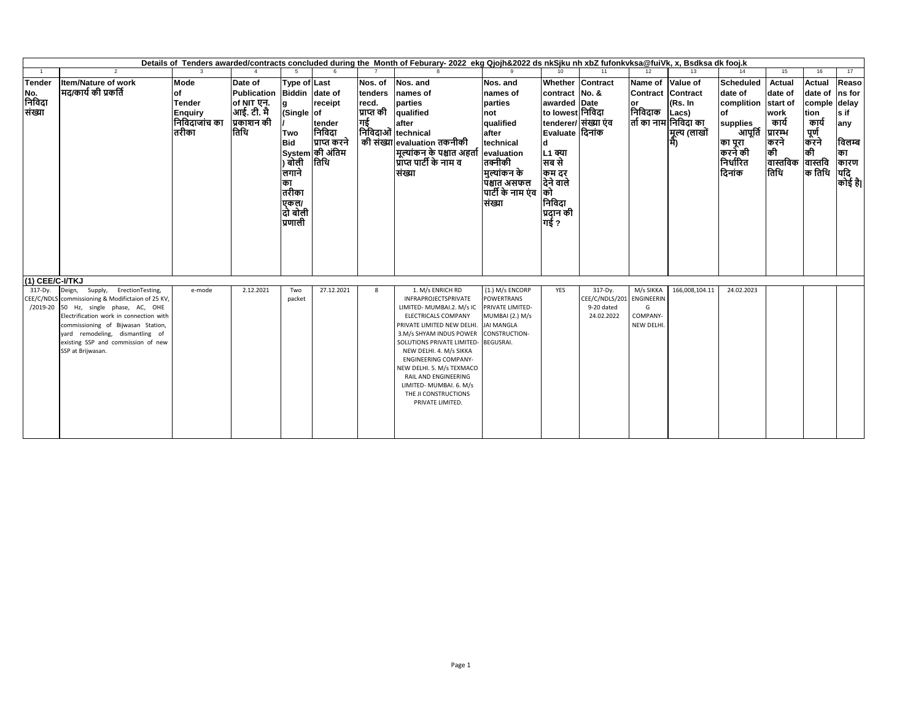|                                    |                                                                                                                                                                                                                                                                                                   |                                                                          |                                                                                         |                                                                                                                   |                                                                                 |                                                 | Details of Tenders awarded/contracts concluded during the Month of Feburary-2022 ekg Qjojh&2022 ds nkSjku nh xbZ fufonkyksa@fuiVk, x, Bsdksa dk fooj.k                                                                                                                                                                                                                   |                                                                                                                                                    |                                                                                                                                                                                                                      |                                                       |                                                               |                                                          |                                                                                                                     |                                                                                                                  |                                                                                          |                                                                 |
|------------------------------------|---------------------------------------------------------------------------------------------------------------------------------------------------------------------------------------------------------------------------------------------------------------------------------------------------|--------------------------------------------------------------------------|-----------------------------------------------------------------------------------------|-------------------------------------------------------------------------------------------------------------------|---------------------------------------------------------------------------------|-------------------------------------------------|--------------------------------------------------------------------------------------------------------------------------------------------------------------------------------------------------------------------------------------------------------------------------------------------------------------------------------------------------------------------------|----------------------------------------------------------------------------------------------------------------------------------------------------|----------------------------------------------------------------------------------------------------------------------------------------------------------------------------------------------------------------------|-------------------------------------------------------|---------------------------------------------------------------|----------------------------------------------------------|---------------------------------------------------------------------------------------------------------------------|------------------------------------------------------------------------------------------------------------------|------------------------------------------------------------------------------------------|-----------------------------------------------------------------|
|                                    | $\mathcal{L}$                                                                                                                                                                                                                                                                                     |                                                                          |                                                                                         |                                                                                                                   |                                                                                 |                                                 |                                                                                                                                                                                                                                                                                                                                                                          |                                                                                                                                                    |                                                                                                                                                                                                                      | 11                                                    |                                                               |                                                          |                                                                                                                     | 15                                                                                                               | 16                                                                                       | 17                                                              |
| <b>Tender</b><br>No.<br><br>संख्या | <b>Item/Nature of work</b><br>मद/कार्य की प्रकर्ति                                                                                                                                                                                                                                                | Mode<br>of<br><b>Tender</b><br><b>Enquiry</b><br>निविदाजांच का<br>तिरीका | Date of<br>Publication Biddin date of<br>of NIT एन.<br>आई. टी. मै<br>प्रकाशन की<br>तिथि | <b>Type of Last</b><br>a<br>(Single of<br>Two<br><b>Bid</b><br>लगाने<br>का<br>तरीका<br>एकल/<br>दो बोली<br>प्रणाली | receipt<br>tender<br>निविदा<br>प्राप्त करने<br> System की अंतिम<br>) बोली  तिथि | Nos. of<br>tenders<br>recd.<br>प्राप्त की<br>गई | Nos. and<br>names of<br>parties<br>qualified<br>lafter<br>निविदाओं technical<br>की संख्या evaluation तकनीकी<br>मूल्यांकन के पश्चात अहर्ता evaluation<br>प्राप्त पार्टी के नाम व<br>संख्या                                                                                                                                                                                | Nos. and<br>names of<br>parties<br>not<br>qualified<br>after<br>technical<br>तक्नीकी<br>मुल्यांकन के<br>पश्चात असफल<br>पार्टी के नाम एंव<br>संख्या | Whether Contract<br>contract No. &<br>awarded Date<br>to lowest निविदा<br>tenderer/ संख्या एंव<br> Evaluate दिनांक<br><b>d</b><br><b>L1 क्या</b><br>सब से<br>कम दर<br>देने वाले<br>को<br>निविदा<br>प्रदान की<br>गई ? |                                                       | Name of Value of<br>Contract Contract<br>or<br>निविदाक        | (Rs. In<br>Lacs)<br>तों का नाम निविदा का<br>मूल्य (लाखों | <b>Scheduled</b><br>date of<br>complition<br>of<br>supplies<br>आपूर्ति<br>का पूरा<br>करने की<br>निर्धारित<br>दिनांक | Actual<br>date of<br>start of<br>work<br>कार्य<br>प्रारम्भ<br>करने<br>की<br> वास्तविक  वास्तवि<br> तिथि   क तिथि | <b>Actual</b><br>date of Ins for<br>comple delay<br>tion<br>कार्य<br>्राणं<br>करने<br>की | Reaso<br>ls if<br>any<br>विलम्ब<br>का<br>कारण<br>यदि<br>कोई है। |
| (1) CEE/C-I/TKJ                    |                                                                                                                                                                                                                                                                                                   |                                                                          |                                                                                         |                                                                                                                   |                                                                                 |                                                 |                                                                                                                                                                                                                                                                                                                                                                          |                                                                                                                                                    |                                                                                                                                                                                                                      |                                                       |                                                               |                                                          |                                                                                                                     |                                                                                                                  |                                                                                          |                                                                 |
| 317-Dy.<br>CEE/C/NDLS              | Deign, Supply, ErectionTesting,<br>commissioning & Modifictaion of 25 KV,<br>/2019-20 50 Hz, single phase, AC, OHE<br>Electrification work in connection with<br>commissioning of Bijwasan Station,<br>yard remodeling, dismantling of<br>existing SSP and commission of new<br>SSP at Brijwasan. | e-mode                                                                   | 2.12.2021                                                                               | Two<br>packet                                                                                                     | 27.12.2021                                                                      | 8                                               | 1. M/s ENRICH RD<br>INFRAPROJECTSPRIVATE<br>LIMITED- MUMBAI.2. M/s IC<br>ELECTRICALS COMPANY<br>PRIVATE LIMITED NEW DELHI<br>3.M/s SHYAM INDUS POWER<br>SOLUTIONS PRIVATE LIMITED-<br>NEW DELHI. 4. M/s SIKKA<br><b>ENGINEERING COMPANY-</b><br>NEW DELHI. 5. M/s TEXMACO<br>RAIL AND ENGINEERING<br>LIMITED- MUMBAI. 6. M/s<br>THE JI CONSTRUCTIONS<br>PRIVATE LIMITED. | (1.) M/s ENCORP<br><b>POWERTRANS</b><br>PRIVATE LIMITED-<br>MUMBAI (2.) M/s<br><b>JAI MANGLA</b><br>CONSTRUCTION-<br><b>BEGUSRAI.</b>              | <b>YES</b>                                                                                                                                                                                                           | 317-Dy.<br>CEE/C/NDLS/201<br>9-20 dated<br>24.02.2022 | M/s SIKKA<br><b>ENGINEERIN</b><br>G<br>COMPANY-<br>NEW DELHI. | 166,008,104.11                                           | 24.02.2023                                                                                                          |                                                                                                                  |                                                                                          |                                                                 |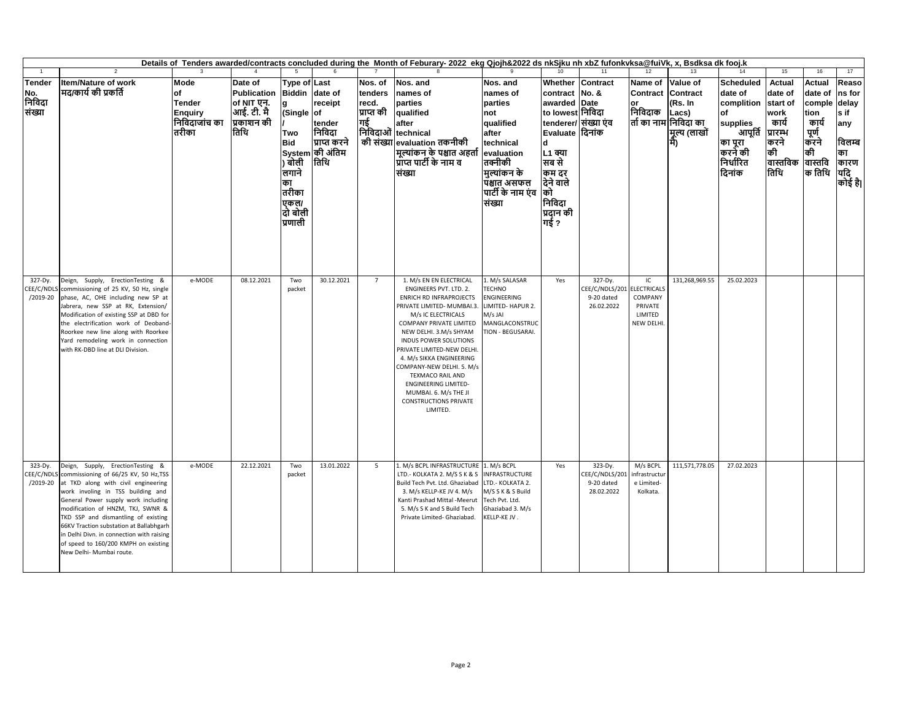|                                     | Details of Tenders awarded/contracts concluded during the Month of Feburary-2022 ekg Qjojh&2022 ds nkSjku nh xbZ fufonkvksa@fuiVk, x, Bsdksa dk fooj.k                                                                                                                                                                                                                                                                               |                                                                          |                                                                                   |                                                                                                                                                      |                                                                        |                                           |                                                                                                                                                                                                                                                                                                                                                                                                                                                   |                                                                                                                                                                     |                                                                                                                                                                                                 |                                                                   |                                                     |                                                                      |                                                                                                                                     |                                                                                         |                                                                                                    |                                                                                       |
|-------------------------------------|--------------------------------------------------------------------------------------------------------------------------------------------------------------------------------------------------------------------------------------------------------------------------------------------------------------------------------------------------------------------------------------------------------------------------------------|--------------------------------------------------------------------------|-----------------------------------------------------------------------------------|------------------------------------------------------------------------------------------------------------------------------------------------------|------------------------------------------------------------------------|-------------------------------------------|---------------------------------------------------------------------------------------------------------------------------------------------------------------------------------------------------------------------------------------------------------------------------------------------------------------------------------------------------------------------------------------------------------------------------------------------------|---------------------------------------------------------------------------------------------------------------------------------------------------------------------|-------------------------------------------------------------------------------------------------------------------------------------------------------------------------------------------------|-------------------------------------------------------------------|-----------------------------------------------------|----------------------------------------------------------------------|-------------------------------------------------------------------------------------------------------------------------------------|-----------------------------------------------------------------------------------------|----------------------------------------------------------------------------------------------------|---------------------------------------------------------------------------------------|
|                                     | $\mathfrak{p}$                                                                                                                                                                                                                                                                                                                                                                                                                       |                                                                          |                                                                                   | -5                                                                                                                                                   |                                                                        |                                           |                                                                                                                                                                                                                                                                                                                                                                                                                                                   |                                                                                                                                                                     |                                                                                                                                                                                                 | 11                                                                | 12                                                  | 13                                                                   | 14                                                                                                                                  | 15                                                                                      | 16                                                                                                 | 17                                                                                    |
| Tender<br>No.<br>निविदा<br>संख्या   | <b>Item/Nature of work</b><br>मद/कार्य की प्रकर्ति                                                                                                                                                                                                                                                                                                                                                                                   | Mode<br>lof<br><b>Tender</b><br><b>Enquiry</b><br>निविदाजांच का<br>तरीका | Date of<br><b>Publication</b><br>of NIT एन.<br> आई. टी. मै<br> प्रकाशन की<br>तिथि | Type of Last<br>Biddin date of<br><b>g</b><br>(Single of<br><b>Two</b><br><b>Bid</b><br>) बोली<br>लगाने<br>का<br>तरीका<br>एकल/<br>दो बोली<br>प्रणाली | receipt<br>tender<br>निविदा<br>प्राप्त करने<br>System की अंतिम<br>तिथि | Nos. of<br>tenders<br>recd.<br>प्राप्त की | Nos. and<br>names of<br>parties<br>qualified<br>after<br>निविदाओं technical<br>की संख्या evaluation तकनीकी<br>मूल्यांकन के पश्चात अहर्ता<br>प्राप्त पार्टी के नाम व<br>संख्या                                                                                                                                                                                                                                                                     | Nos. and<br>names of<br>parties<br>not<br>qualified<br>after<br>technical<br>evaluation<br>तक्नीकी<br>मुल्यांकन के<br>पश्चात असफल<br>पार्टी के नाम एंव को<br>संख्या | Whether Contract<br>contract No. &<br>awarded Date<br>to lowest निविदा<br>tenderer/ संख्या एंव<br>Evaluate दिनांक<br>d<br>L1 क्या<br>सब से<br>कम दर<br>देने वाले<br>निविदा<br>प्रदान की<br>गई ? |                                                                   | Name of<br>Contract Contract<br>or<br>निविदाक       | Value of<br>(Rs. In<br>Lacs)<br>तों का नाम निविदा का<br>मूल्य (लाखों | <b>Scheduled</b><br>date of<br>complition<br>of<br>supplies<br>.<br>आपूर्ति प्रारम्भ<br>का पूरा<br> कुरने की<br>निर्धारित<br>दिनांक | <b>Actual</b><br>date of<br>start of<br>work<br>कार्य<br>करने<br>की<br>वास्तविक<br>तिथि | <b>Actual</b><br>date of<br>comple<br>tion<br>कार्य<br>  पूर्ण<br> करने<br>की<br>वास्तवि<br>क तिथि | Reaso<br>ns for<br>delay<br>s if<br>any<br>विलम्ब<br>का<br>कारण<br><br>यदि<br>कोई है। |
| 327-Dy.<br>CEE/C/NDLS<br>$/2019-20$ | Deign, Supply, ErectionTesting &<br>commissioning of 25 KV, 50 Hz, single<br>phase, AC, OHE including new SP at<br>Jabrera, new SSP at RK, Extension/<br>Modification of existing SSP at DBD for<br>the electrification work of Deoband-<br>Roorkee new line along with Roorkee<br>Yard remodeling work in connection<br>with RK-DBD line at DLI Division                                                                            | e-MODE                                                                   | 08.12.2021                                                                        | Two<br>packet                                                                                                                                        | 30.12.2021                                                             | $\overline{7}$                            | 1. M/s EN EN ELECTRICAL<br>ENGINEERS PVT. LTD. 2.<br><b>ENRICH RD INFRAPROJECTS</b><br>PRIVATE LIMITED- MUMBAI.3.<br>M/s IC ELECTRICALS<br>COMPANY PRIVATE LIMITED<br>NEW DELHI. 3.M/s SHYAM<br><b>INDUS POWER SOLUTIONS</b><br>PRIVATE LIMITED-NEW DELHI<br>4. M/s SIKKA ENGINEERING<br>COMPANY-NEW DELHI. 5. M/s<br><b>TEXMACO RAIL AND</b><br><b>ENGINEERING LIMITED-</b><br>MUMBAI. 6. M/s THE JI<br><b>CONSTRUCTIONS PRIVATE</b><br>LIMITED. | 1. M/s SALASAR<br><b>TECHNO</b><br><b>ENGINEERING</b><br>LIMITED- HAPUR 2.<br>M/s JAI<br>MANGLACONSTRUC<br>TION - BEGUSARAI.                                        | Yes                                                                                                                                                                                             | 327-Dy.<br>CEE/C/NDLS/201 ELECTRICALS<br>9-20 dated<br>26.02.2022 | IC<br>COMPANY<br>PRIVATE<br>LIMITED<br>NEW DELHI.   | 131,268,969.55                                                       | 25.02.2023                                                                                                                          |                                                                                         |                                                                                                    |                                                                                       |
| 323-Dy.<br>CEE/C/NDL:<br>/2019-20   | Deign, Supply, ErectionTesting &<br>commissioning of 66/25 KV, 50 Hz, TSS<br>at TKD along with civil engineering<br>work involing in TSS building and<br>General Power supply work including<br>modification of HNZM, TKJ, SWNR &<br>TKD SSP and dismantling of existing<br>66KV Traction substation at Ballabhgarh<br>in Delhi Divn. in connection with raising<br>of speed to 160/200 KMPH on existing<br>New Delhi- Mumbai route. | e-MODE                                                                   | 22.12.2021                                                                        | Two<br>packet                                                                                                                                        | 13.01.2022                                                             | 5                                         | 1. M/s BCPL INFRASTRUCTURE 1. M/s BCPL<br>LTD.- KOLKATA 2. M/S S K & S<br>Build Tech Pvt. Ltd. Ghaziabad<br>3. M/s KELLP-KE JV 4. M/s<br>Kanti Prashad Mittal - Meerut<br>5. M/s S K and S Build Tech<br>Private Limited- Ghaziabad.                                                                                                                                                                                                              | <b>INFRASTRUCTURE</b><br>LTD.- KOLKATA 2.<br>M/S S K & S Build<br>Tech Pvt. Ltd.<br>Ghaziabad 3. M/s<br>KELLP-KE JV.                                                | Yes                                                                                                                                                                                             | 323-Dy.<br>EE/C/NDLS/20<br>9-20 dated<br>28.02.2022               | M/s BCPL<br>infrastructur<br>e Limited-<br>Kolkata. | 111,571,778.05                                                       | 27.02.2023                                                                                                                          |                                                                                         |                                                                                                    |                                                                                       |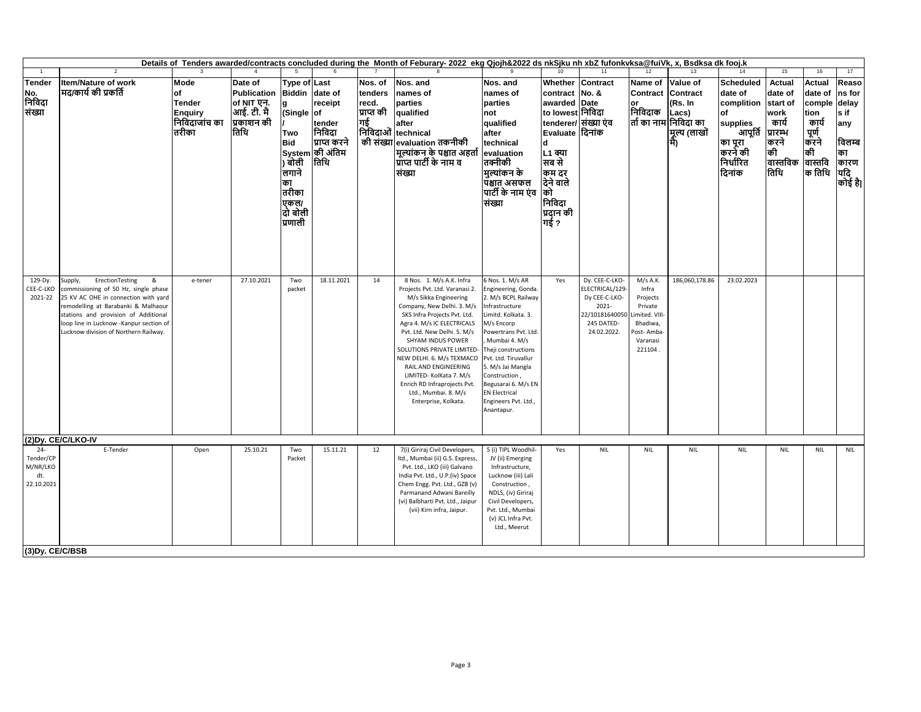|                                                                          | Details of Tenders awarded/contracts concluded during the Month of Feburary-2022 ekg Qjojh&2022 ds nkSjku nh xbZ fufonkyksa@fuiVk, x, Bsdksa dk fooj.k                                                                                                                             |                                                                          |                                                                                 |                                                                                                                                      |                                                                                   |                                                 |                                                                                                                                                                                                                                                                                                                                                                                                                                   |                                                                                                                                                                                                                                                                                                                                          |                                                                                                                                                                                                       |                                                                                                            |                                                                                                          |                                                                     |                                                                                                                              |                                                                                         |                                                                                               |                                                                          |
|--------------------------------------------------------------------------|------------------------------------------------------------------------------------------------------------------------------------------------------------------------------------------------------------------------------------------------------------------------------------|--------------------------------------------------------------------------|---------------------------------------------------------------------------------|--------------------------------------------------------------------------------------------------------------------------------------|-----------------------------------------------------------------------------------|-------------------------------------------------|-----------------------------------------------------------------------------------------------------------------------------------------------------------------------------------------------------------------------------------------------------------------------------------------------------------------------------------------------------------------------------------------------------------------------------------|------------------------------------------------------------------------------------------------------------------------------------------------------------------------------------------------------------------------------------------------------------------------------------------------------------------------------------------|-------------------------------------------------------------------------------------------------------------------------------------------------------------------------------------------------------|------------------------------------------------------------------------------------------------------------|----------------------------------------------------------------------------------------------------------|---------------------------------------------------------------------|------------------------------------------------------------------------------------------------------------------------------|-----------------------------------------------------------------------------------------|-----------------------------------------------------------------------------------------------|--------------------------------------------------------------------------|
|                                                                          | $\overline{2}$                                                                                                                                                                                                                                                                     |                                                                          |                                                                                 |                                                                                                                                      |                                                                                   |                                                 |                                                                                                                                                                                                                                                                                                                                                                                                                                   |                                                                                                                                                                                                                                                                                                                                          |                                                                                                                                                                                                       | 11                                                                                                         | 12                                                                                                       | 13                                                                  |                                                                                                                              | 15                                                                                      | 16                                                                                            | 17                                                                       |
| <b>Tender</b><br>No.<br>निविदा<br>संख्या                                 | <b>Item/Nature of work</b><br>मद/कार्य की प्रकर्ति                                                                                                                                                                                                                                 | Mode<br>of<br><b>Tender</b><br><b>Enquiry</b><br>निविदाजांच का<br>तिरीका | Date of<br><b>Publication</b><br>of NIT एन.<br>आई. टी. मै<br>प्रकाशन की<br>तिथि | Type of Last<br><b>Biddin</b><br>g<br>Single of<br>Two<br><b>Bid</b><br>) बोली<br>लगाने<br>का<br>तरीका<br>एकल/<br>दो बोली<br>प्रणाली | date of<br>receipt<br>tender<br>निविदा<br>प्राप्त करने<br>System की अंतिम<br>तिथि | Nos. of<br>tenders<br>recd.<br>प्राप्त की<br>गई | Nos. and<br>names of<br>parties<br>qualified<br>after<br>निविदाओं technical<br>की संख्या evaluation तकनीकी<br> मूल्यांकन के पश्चात अहर्ता<br>प्राप्त पार्टी के नाम व<br>संख्या                                                                                                                                                                                                                                                    | Nos. and<br>names of<br>parties<br>not<br>qualified<br>after<br>technical<br>evaluation<br>तक्नीकी<br> मुल्यांकन के<br>पिश्चात असफल<br>पार्टी के नाम एंव<br>संख्या                                                                                                                                                                       | Whether<br>contract No. &<br>awarded Date<br>to lowest निविदा<br>tenderer/ संख्या एंव<br> Evaluate  दिनांक<br>d<br><b>L1</b> क्या<br>सब से<br>कम दर<br>दिने वाले<br>को<br>निविदा<br>प्रदान की<br>गई ? | Contract                                                                                                   | Name of<br><b>Contract Contract</b><br>निविदाक                                                           | Value of<br>(Rs. In<br>Lacs)<br>ती का नाम निविदा का<br>मूल्य (लाखों | <b>Scheduled</b><br>date of<br>complition start of<br>of<br>supplies<br>आपूर्ति<br>का पूरा<br>करने की<br>निर्धारित<br>दिनांक | <b>Actual</b><br>date of<br>work<br>कार्य<br>प्रारम्भ<br>करने<br>की<br>वास्तविक<br>तिथि | Actual<br>date of<br>comple delay<br>ion<br>कार्य<br>पूर्ण<br>करने<br>की<br>वास्तवि<br>क तिथि | Reaso<br>ns for<br>s if<br>any<br>विलम्ब<br>का<br>कारण<br>यदि<br>कोई है। |
| 129-Dy.<br>CEE-C-LKO<br>2021-22                                          | ErectionTesting<br>Supply,<br>&<br>commissioning of 50 Hz, single phase<br>25 KV AC OHE in connection with yard<br>remodelling at Barabanki & Malhaour<br>stations and provision of Additional<br>loop line in Lucknow -Kanpur section of<br>Lucknow division of Northern Railway. | e-tener                                                                  | 27.10.2021                                                                      | Two<br>packet                                                                                                                        | 18.11.2021                                                                        | 14                                              | 8 Nos. 1. M/s A.K. Infra<br>Projects Pvt. Ltd. Varanasi 2.<br>M/s Sikka Engineering<br>Company, New Delhi. 3. M/s<br>SKS Infra Projects Pvt. Ltd.<br>Agra 4. M/s IC ELECTRICALS<br>Pvt. Ltd. New Delhi. 5. M/s<br>SHYAM INDUS POWER<br>SOLUTIONS PRIVATE LIMITED-<br>NEW DELHI. 6. M/s TEXMACO<br>RAIL AND ENGINEERING<br>LIMITED- KolKata 7. M/s<br>Enrich RD Infraprojects Pvt.<br>Ltd., Mumbai. 8. M/s<br>Enterprise, Kolkata. | 6 Nos. 1. M/s AR<br>Engineering, Gonda.<br>2. M/s BCPL Railway<br>Infrastructure<br>Limitd. Kolkata. 3.<br>M/s Encorp<br>Powertrans Pvt. Ltd.<br>Mumbai 4. M/s<br>Theji constructions<br>Pvt. Ltd. Tiruvallur<br>5. M/s Jai Mangla<br>Construction,<br>Begusarai 6. M/s EN<br><b>EN Electrical</b><br>Engineers Pvt. Ltd.,<br>Anantapur. | Yes                                                                                                                                                                                                   | Dy. CEE-C-LKO-<br>ELECTRICAL/129-<br>Dy CEE-C-LKO-<br>2021-<br>22/10181640050<br>245 DATED-<br>24.02.2022. | M/s A.K.<br>Infra<br>Projects<br>Private<br>Limited. VIII<br>Bhadiwa,<br>ost-Amba<br>Varanasi<br>221104. | 186,060,178.86                                                      | 23.02.2023                                                                                                                   |                                                                                         |                                                                                               |                                                                          |
| $24 -$<br>Tender/CP<br>M/NR/LKO<br>dt.<br>22.10.2021<br>(3) Dy. CE/C/BSB | (2) Dy. CE/C/LKO-IV<br>E-Tender                                                                                                                                                                                                                                                    | Open                                                                     | 25.10.21                                                                        | Two<br>Packet                                                                                                                        | 15.11.21                                                                          | 12                                              | 7(i) Giriraj Civil Developers,<br>Itd., Mumbai (ii) G.S. Express,<br>Pvt. Ltd., LKO (iii) Galvano<br>India Pvt. Ltd., U.P.(iv) Space<br>Chem Engg. Pvt. Ltd., GZB (v)<br>Parmanand Adwani Bareilly<br>(vi) Balbharti Pvt. Ltd., Jaipur<br>(vii) Kirn infra, Jaipur.                                                                                                                                                               | 5 (i) TIPL Woodhil-<br>JV (ii) Emerging<br>Infrastructure,<br>Lucknow (iii) Lali<br>Construction,<br>NDLS, (iv) Giriraj<br>Civil Developers,<br>Pvt. Ltd., Mumbai<br>(v) JCL Infra Pvt.<br>Ltd., Meerut                                                                                                                                  | Yes                                                                                                                                                                                                   | <b>NIL</b>                                                                                                 | <b>NIL</b>                                                                                               | <b>NIL</b>                                                          | <b>NIL</b>                                                                                                                   | <b>NIL</b>                                                                              | <b>NIL</b>                                                                                    | <b>NIL</b>                                                               |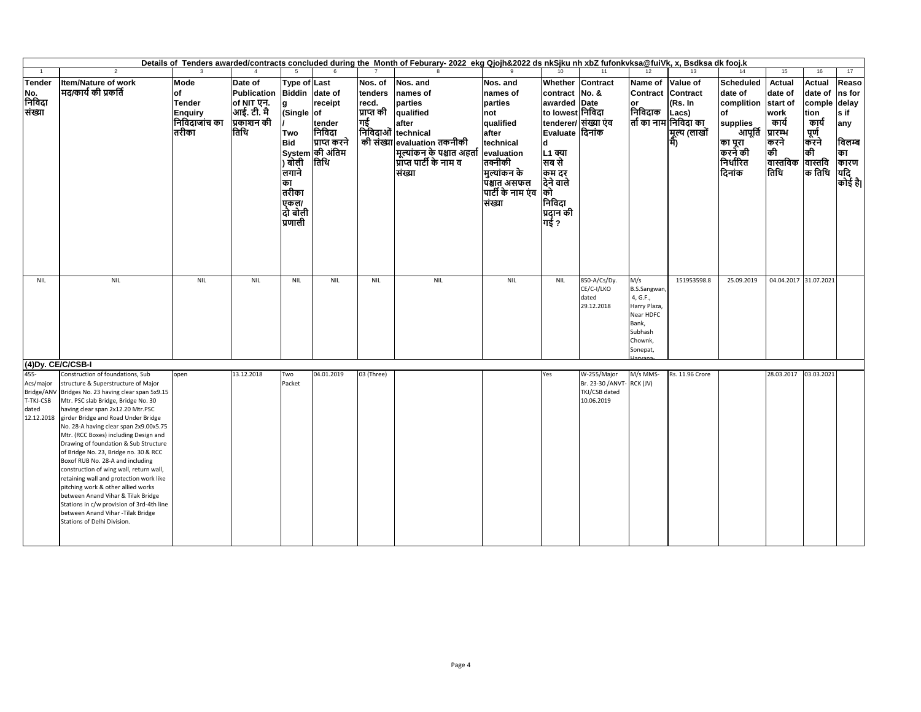|                                                                     | Details of Tenders awarded/contracts concluded during the Month of Feburary-2022 ekg Qjojh&2022 ds nkSjku nh xbZ fufonkvksa@fuiVk, x, Bsdksa dk fooj.k<br>12<br>11<br>13                                                                                                                                                                                                                                                                                                                                                                                                                                                                                                                                                           |                                                                                        |                                                                                         |                                                                                                                                |                                                                        |                                                 |                                                                                                                                                                               |                                                                                                                                                                    |                                                                                                                                                                                                             |                                                                |                                                                                                               |                                                                       |                                                                                                                              |                                                                                                            |                                                                                     |                                                                          |
|---------------------------------------------------------------------|------------------------------------------------------------------------------------------------------------------------------------------------------------------------------------------------------------------------------------------------------------------------------------------------------------------------------------------------------------------------------------------------------------------------------------------------------------------------------------------------------------------------------------------------------------------------------------------------------------------------------------------------------------------------------------------------------------------------------------|----------------------------------------------------------------------------------------|-----------------------------------------------------------------------------------------|--------------------------------------------------------------------------------------------------------------------------------|------------------------------------------------------------------------|-------------------------------------------------|-------------------------------------------------------------------------------------------------------------------------------------------------------------------------------|--------------------------------------------------------------------------------------------------------------------------------------------------------------------|-------------------------------------------------------------------------------------------------------------------------------------------------------------------------------------------------------------|----------------------------------------------------------------|---------------------------------------------------------------------------------------------------------------|-----------------------------------------------------------------------|------------------------------------------------------------------------------------------------------------------------------|------------------------------------------------------------------------------------------------------------|-------------------------------------------------------------------------------------|--------------------------------------------------------------------------|
|                                                                     | $\overline{2}$                                                                                                                                                                                                                                                                                                                                                                                                                                                                                                                                                                                                                                                                                                                     |                                                                                        |                                                                                         | -5                                                                                                                             |                                                                        |                                                 |                                                                                                                                                                               |                                                                                                                                                                    |                                                                                                                                                                                                             |                                                                |                                                                                                               |                                                                       | 14                                                                                                                           | 15                                                                                                         | 16                                                                                  | 17                                                                       |
| Tender<br>No.<br>निविदा<br>संख्या                                   | Item/Nature of work<br>मद/कार्य की प्रकर्ति                                                                                                                                                                                                                                                                                                                                                                                                                                                                                                                                                                                                                                                                                        | <b>Mode</b><br><b>of</b><br><b>Tender</b><br><b>Enquiry</b><br>निविंदाजांच का<br>तरीका | Date of<br>Publication Biddin date of<br>of NIT एन.<br>आई. टी. मै<br>प्रकाशन की<br>तिथि | <b>Type of Last</b><br>la<br>(Single of<br>Two<br><b>Bid</b><br>) बोली<br>लगाने<br>का<br>तरीका<br> एकल/<br> दो बोली<br>प्रणाली | receipt<br>tender<br>निविदा<br>प्राप्त करने<br>System की अंतिम<br>तिथि | Nos. of<br>tenders<br>recd.<br>प्राप्त की<br>गई | Nos. and<br>names of<br>parties<br>qualified<br>after<br>मिविदाओं technical<br>की संख्या evaluation तकनीकी<br>मूल्यांकन के पश्चात अहर्ता<br>प्राप्त पार्टी के नाम व<br>संख्या | Nos. and<br>names of<br>parties<br>not<br>qualified<br>after<br>technical<br>evaluation<br>तक्नीकी<br> मुल्यांकन के<br>पिश्चात असफल<br>पार्टी के नाम एंव<br>संख्या | Whether Contract<br>contract No. &<br>awarded Date<br>to lowest निविदा<br>tenderer/ संख्या एव<br>Evaluate दिनांक<br>d<br><b>L1 क्या</b><br>सब से<br>कम दर<br>देने वाले<br>को<br>निविदा<br>प्रदान की<br>गई ? |                                                                | Name of<br>Contract Contract<br>or<br>निविदाक                                                                 | Value of<br>(Rs. In<br>Lacs)<br>तों का नाम निविदा का<br> मूल्य (लाखों | <b>Scheduled</b><br>date of<br>complition start of<br>of<br>supplies<br>आपूर्ति<br>का पूरा<br>करने की<br>निर्धारित<br>दिनांक | <b>Actual</b><br>date of<br>work<br>कार्य<br>प्रारम्भ<br>करने<br>की<br>वास्तविक  वास्तवि<br> तिथि   क तिथि | <b>Actual</b><br>date of<br>comple delay<br>tion<br>कार्य<br>  पूर्ण<br> करने<br>की | Reaso<br>ns for<br>s if<br>any<br>विलम्ब<br>का<br>कारण<br>यदि<br>कोई है। |
| NIL                                                                 | <b>NIL</b>                                                                                                                                                                                                                                                                                                                                                                                                                                                                                                                                                                                                                                                                                                                         | <b>NIL</b>                                                                             | <b>NIL</b>                                                                              | <b>NIL</b>                                                                                                                     | <b>NIL</b>                                                             | <b>NIL</b>                                      | <b>NIL</b>                                                                                                                                                                    | <b>NIL</b>                                                                                                                                                         | <b>NIL</b>                                                                                                                                                                                                  | 850-A/Cs/Dy.<br>CE/C-I/LKO<br>dated<br>29.12.2018              | M/s<br><b>B.S.Sangwan</b><br>4, G.F.,<br>Harry Plaza,<br>Near HDFC<br>Bank,<br>Subhash<br>Chownk,<br>Sonepat, | 151953598.8                                                           | 25.09.2019                                                                                                                   | 04.04.2017 31.07.2021                                                                                      |                                                                                     |                                                                          |
| (4) Dy. CE/C/CSB-I                                                  |                                                                                                                                                                                                                                                                                                                                                                                                                                                                                                                                                                                                                                                                                                                                    |                                                                                        |                                                                                         |                                                                                                                                |                                                                        |                                                 |                                                                                                                                                                               |                                                                                                                                                                    |                                                                                                                                                                                                             |                                                                |                                                                                                               |                                                                       |                                                                                                                              |                                                                                                            |                                                                                     |                                                                          |
| 455-<br>Acs/major<br>Bridge/ANV<br>T-TKJ-CSB<br>dated<br>12.12.2018 | Construction of foundations, Sub<br>structure & Superstructure of Major<br>Bridges No. 23 having clear span 5x9.15<br>Mtr. PSC slab Bridge, Bridge No. 30<br>having clear span 2x12.20 Mtr.PSC<br>girder Bridge and Road Under Bridge<br>No. 28-A having clear span 2x9.00x5.75<br>Mtr. (RCC Boxes) including Design and<br>Drawing of foundation & Sub Structure<br>of Bridge No. 23, Bridge no. 30 & RCC<br>Boxof RUB No. 28-A and including<br>construction of wing wall, return wall,<br>retaining wall and protection work like<br>pitching work & other allied works<br>between Anand Vihar & Tilak Bridge<br>Stations in c/w provision of 3rd-4th line<br>between Anand Vihar - Tilak Bridge<br>Stations of Delhi Division. | open                                                                                   | 13.12.2018                                                                              | Two<br>Packet                                                                                                                  | 04.01.2019                                                             | 03 (Three)                                      |                                                                                                                                                                               |                                                                                                                                                                    | Yes                                                                                                                                                                                                         | W-255/Major<br>Br. 23-30 / ANVT<br>TKJ/CSB dated<br>10.06.2019 | M/s MMS-<br>- RCK (JV)                                                                                        | <b>8s. 11.96 Crore</b>                                                |                                                                                                                              | 28.03.2017                                                                                                 | 03.03.2021                                                                          |                                                                          |